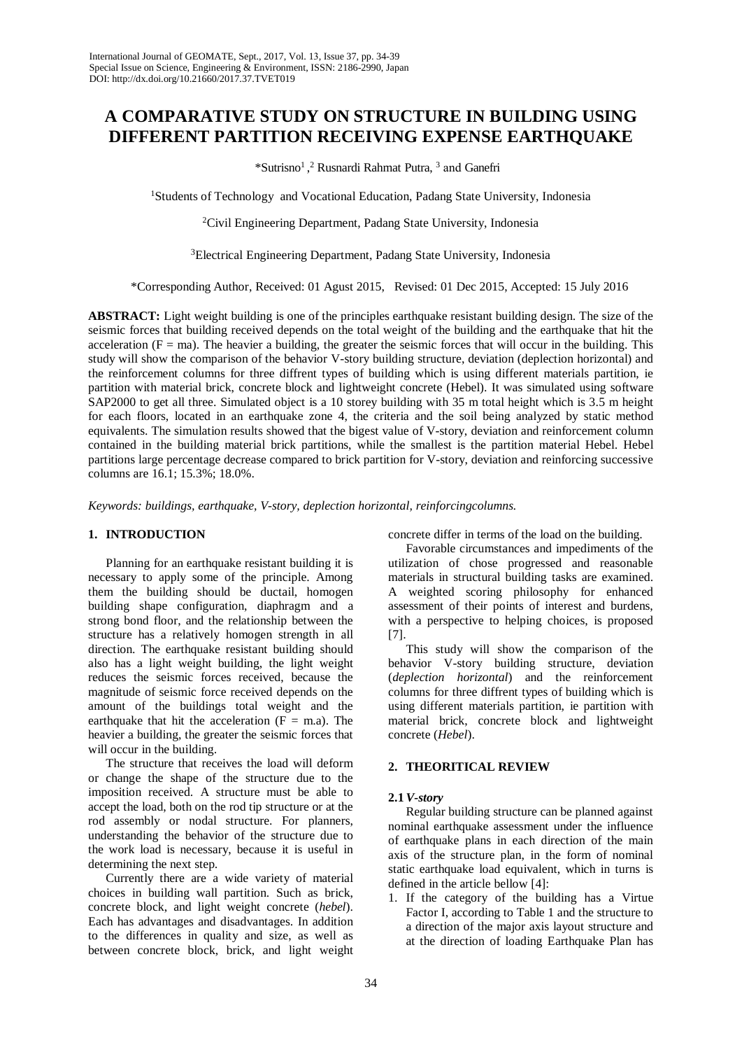# **A COMPARATIVE STUDY ON STRUCTURE IN BUILDING USING DIFFERENT PARTITION RECEIVING EXPENSE EARTHQUAKE**

\*Sutrisno<sup>1</sup> , 2 Rusnardi Rahmat Putra, 3 and Ganefri

<sup>1</sup>Students of Technology and Vocational Education, Padang State University, Indonesia

<sup>2</sup>Civil Engineering Department, Padang State University, Indonesia

3Electrical Engineering Department, Padang State University, Indonesia

\*Corresponding Author, Received: 01 Agust 2015, Revised: 01 Dec 2015, Accepted: 15 July 2016

**ABSTRACT:** Light weight building is one of the principles earthquake resistant building design. The size of the seismic forces that building received depends on the total weight of the building and the earthquake that hit the acceleration  $(F = ma)$ . The heavier a building, the greater the seismic forces that will occur in the building. This study will show the comparison of the behavior V-story building structure, deviation (deplection horizontal) and the reinforcement columns for three diffrent types of building which is using different materials partition, ie partition with material brick, concrete block and lightweight concrete (Hebel). It was simulated using software SAP2000 to get all three. Simulated object is a 10 storey building with 35 m total height which is 3.5 m height for each floors, located in an earthquake zone 4, the criteria and the soil being analyzed by static method equivalents. The simulation results showed that the bigest value of V-story, deviation and reinforcement column contained in the building material brick partitions, while the smallest is the partition material Hebel. Hebel partitions large percentage decrease compared to brick partition for V-story, deviation and reinforcing successive columns are 16.1; 15.3%; 18.0%.

*Keywords: buildings, earthquake, V-story, deplection horizontal, reinforcingcolumns.* 

# **1. INTRODUCTION**

Planning for an earthquake resistant building it is necessary to apply some of the principle. Among them the building should be ductail, homogen building shape configuration, diaphragm and a strong bond floor, and the relationship between the structure has a relatively homogen strength in all direction. The earthquake resistant building should also has a light weight building, the light weight reduces the seismic forces received, because the magnitude of seismic force received depends on the amount of the buildings total weight and the earthquake that hit the acceleration  $(F = m.a)$ . The heavier a building, the greater the seismic forces that will occur in the building.

The structure that receives the load will deform or change the shape of the structure due to the imposition received. A structure must be able to accept the load, both on the rod tip structure or at the rod assembly or nodal structure. For planners, understanding the behavior of the structure due to the work load is necessary, because it is useful in determining the next step.

Currently there are a wide variety of material choices in building wall partition. Such as brick, concrete block, and light weight concrete (*hebel*). Each has advantages and disadvantages. In addition to the differences in quality and size, as well as between concrete block, brick, and light weight concrete differ in terms of the load on the building.

Favorable circumstances and impediments of the utilization of chose progressed and reasonable materials in structural building tasks are examined. A weighted scoring philosophy for enhanced assessment of their points of interest and burdens, with a perspective to helping choices, is proposed [7].

This study will show the comparison of the behavior V-story building structure, deviation (*deplection horizontal*) and the reinforcement columns for three diffrent types of building which is using different materials partition, ie partition with material brick, concrete block and lightweight concrete (*Hebel*).

### **2. THEORITICAL REVIEW**

### **2.1***V-story*

Regular building structure can be planned against nominal earthquake assessment under the influence of earthquake plans in each direction of the main axis of the structure plan, in the form of nominal static earthquake load equivalent, which in turns is defined in the article bellow [4]:

1. If the category of the building has a Virtue Factor I, according to Table 1 and the structure to a direction of the major axis layout structure and at the direction of loading Earthquake Plan has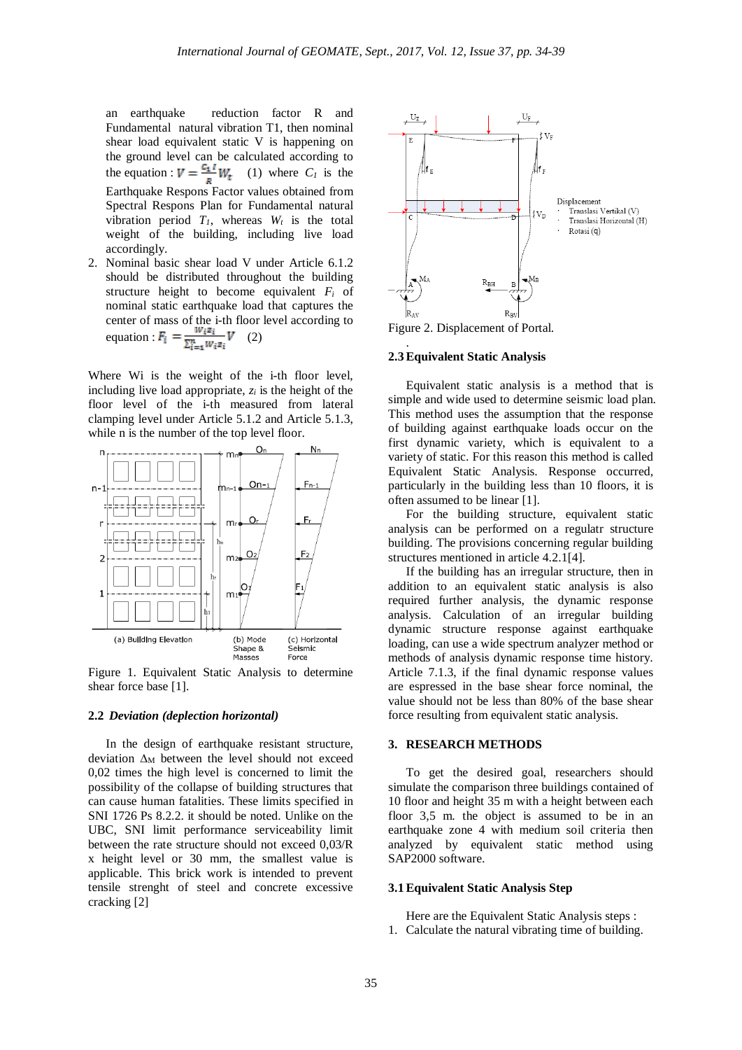an earthquake reduction factor R and Fundamental natural vibration T1, then nominal shear load equivalent static V is happening on the ground level can be calculated according to the equation :  $V = \frac{C_1 I}{R} W_t$  (1) where  $C_I$  is the Earthquake Respons Factor values obtained from Spectral Respons Plan for Fundamental natural vibration period  $T_l$ , whereas  $W_t$  is the total weight of the building, including live load accordingly.

2. Nominal basic shear load V under Article 6.1.2 should be distributed throughout the building structure height to become equivalent *Fi* of nominal static earthquake load that captures the center of mass of the i-th floor level according to equation :  $\bar{F}_i = \frac{W_i z_i}{\sum_{i=1}^n W_i z_i} V$  (2)

Where Wi is the weight of the i-th floor level, including live load appropriate,  $z_i$  is the height of the floor level of the i-th measured from lateral clamping level under Article 5.1.2 and Article 5.1.3, while n is the number of the top level floor.



Figure 1. Equivalent Static Analysis to determine shear force base [1].

#### **2.2** *Deviation (deplection horizontal)*

In the design of earthquake resistant structure, deviation  $\Delta_M$  between the level should not exceed 0,02 times the high level is concerned to limit the possibility of the collapse of building structures that can cause human fatalities. These limits specified in SNI 1726 Ps 8.2.2. it should be noted. Unlike on the UBC, SNI limit performance serviceability limit between the rate structure should not exceed 0,03/R x height level or 30 mm, the smallest value is applicable. This brick work is intended to prevent tensile strenght of steel and concrete excessive cracking [2]



Figure 2. Displacement of Portal.

### **2.3Equivalent Static Analysis**

.

Equivalent static analysis is a method that is simple and wide used to determine seismic load plan. This method uses the assumption that the response of building against earthquake loads occur on the first dynamic variety, which is equivalent to a variety of static. For this reason this method is called Equivalent Static Analysis. Response occurred, particularly in the building less than 10 floors, it is often assumed to be linear [1].

For the building structure, equivalent static analysis can be performed on a regulatr structure building. The provisions concerning regular building structures mentioned in article 4.2.1[4].

If the building has an irregular structure, then in addition to an equivalent static analysis is also required further analysis, the dynamic response analysis. Calculation of an irregular building dynamic structure response against earthquake loading, can use a wide spectrum analyzer method or methods of analysis dynamic response time history. Article 7.1.3, if the final dynamic response values are espressed in the base shear force nominal, the value should not be less than 80% of the base shear force resulting from equivalent static analysis.

# **3. RESEARCH METHODS**

To get the desired goal, researchers should simulate the comparison three buildings contained of 10 floor and height 35 m with a height between each floor 3,5 m. the object is assumed to be in an earthquake zone 4 with medium soil criteria then analyzed by equivalent static method using SAP2000 software.

#### **3.1Equivalent Static Analysis Step**

Here are the Equivalent Static Analysis steps : 1. Calculate the natural vibrating time of building.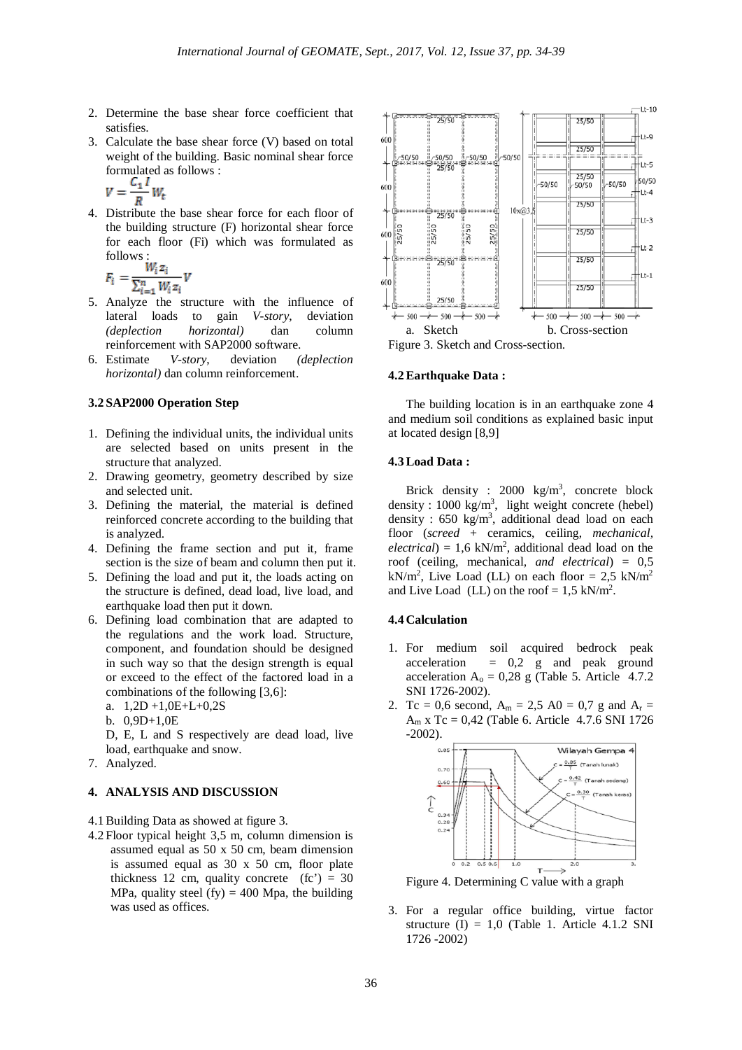- 2. Determine the base shear force coefficient that satisfies.
- 3. Calculate the base shear force (V) based on total weight of the building. Basic nominal shear force formulated as follows :

$$
V=\frac{C_1 I}{R}W_t
$$

4. Distribute the base shear force for each floor of the building structure (F) horizontal shear force for each floor (Fi) which was formulated as follows :

$$
F_i = \frac{W_i z_i}{\sum_{i=1}^n W_i z_i} V_i
$$

- 5. Analyze the structure with the influence of lateral loads to gain *V-story*, deviation *(deplection horizontal)* dan column reinforcement with SAP2000 software.
- 6. Estimate *V-story*, deviation *(deplection horizontal)* dan column reinforcement.

# **3.2 SAP2000 Operation Step**

- 1. Defining the individual units, the individual units are selected based on units present in the structure that analyzed.
- 2. Drawing geometry, geometry described by size and selected unit.
- 3. Defining the material, the material is defined reinforced concrete according to the building that is analyzed.
- 4. Defining the frame section and put it, frame section is the size of beam and column then put it.
- 5. Defining the load and put it, the loads acting on the structure is defined, dead load, live load, and earthquake load then put it down.
- 6. Defining load combination that are adapted to the regulations and the work load. Structure, component, and foundation should be designed in such way so that the design strength is equal or exceed to the effect of the factored load in a combinations of the following [3,6]:
	- a. 1,2D +1,0E+L+0,2S
	- b. 0,9D+1,0E
	- D, E, L and S respectively are dead load, live load, earthquake and snow.
- 7. Analyzed.

# **4. ANALYSIS AND DISCUSSION**

- 4.1Building Data as showed at figure 3.
- 4.2 Floor typical height 3,5 m, column dimension is assumed equal as 50 x 50 cm, beam dimension is assumed equal as 30 x 50 cm, floor plate thickness 12 cm, quality concrete  $(fc') = 30$ MPa, quality steel (fy) = 400 Mpa, the building was used as offices.



# **4.2Earthquake Data :**

The building location is in an earthquake zone 4 and medium soil conditions as explained basic input at located design [8,9]

# **4.3Load Data :**

Brick density : 2000  $\text{kg/m}^3$ , concrete block density :  $1000 \text{ kg/m}^3$ , light weight concrete (hebel) density :  $650 \text{ kg/m}^3$ , additional dead load on each floor (*screed* + ceramics, ceiling, *mechanical,*   $electrical$ ) = 1,6 kN/m<sup>2</sup>, additional dead load on the roof (ceiling, mechanical*, and electrical*) = 0,5  $kN/m^2$ , Live Load (LL) on each floor = 2,5 kN/m<sup>2</sup> and Live Load (LL) on the roof =  $1.5 \text{ kN/m}^2$ .

# **4.4 Calculation**

- 1. For medium soil acquired bedrock peak  $acceleration = 0,2$  g and peak ground acceleration  $A_0 = 0.28$  g (Table 5. Article 4.7.2) SNI 1726-2002).
- 2. Tc = 0,6 second,  $A_m = 2.5$  A0 = 0,7 g and  $A_r =$  $A<sub>m</sub>$  x Tc = 0,42 (Table 6. Article 4.7.6 SNI 1726)  $-2002$ ).



Figure 4. Determining C value with a graph

3. For a regular office building, virtue factor structure  $(I) = 1.0$  (Table 1. Article 4.1.2 SNI 1726 -2002)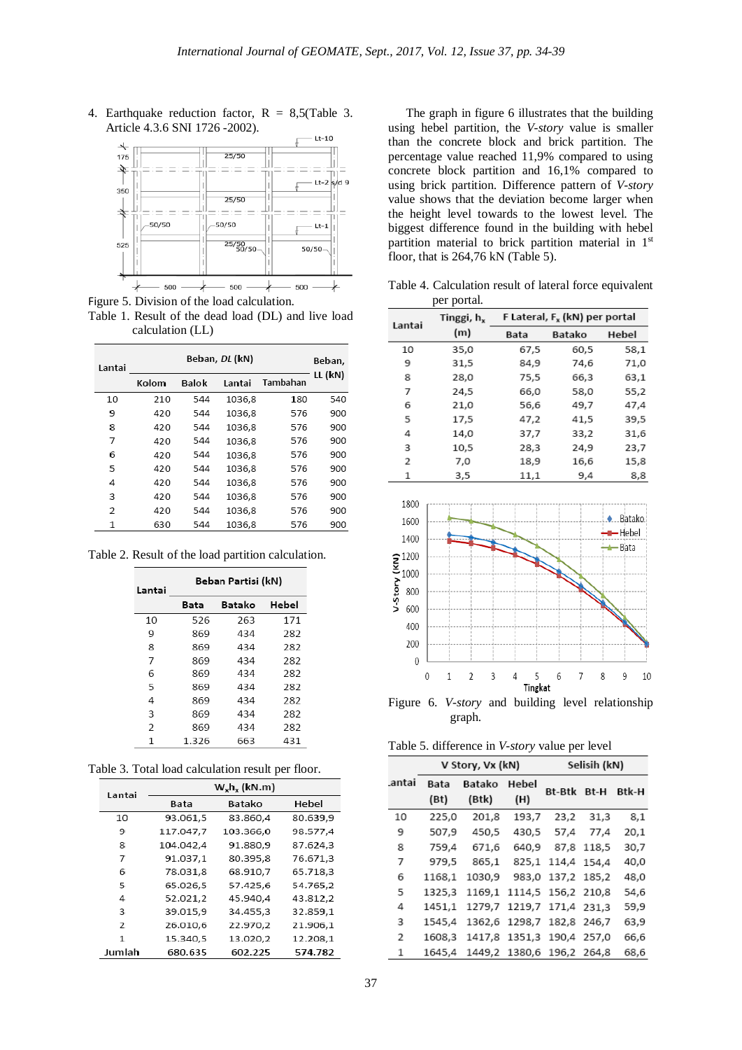4. Earthquake reduction factor,  $R = 8.5$ (Table 3. Article 4.3.6 SNI 1726 -2002).



Figure 5. Division of the load calculation. Table 1. Result of the dead load (DL) and live load calculation (LL)

| Lantai |       | Beban,       |        |          |         |
|--------|-------|--------------|--------|----------|---------|
|        | Kolom | <b>Balok</b> | Lantai | Tambahan | LL (kN) |
| 10     | 210   | 544          | 1036.8 | 180      | 540     |
| 9      | 420   | 544          | 1036,8 | 576      | 900     |
| 8      | 420   | 544          | 1036,8 | 576      | 900     |
| 7      | 420   | 544          | 1036,8 | 576      | 900     |
| 6      | 420   | 544          | 1036.8 | 576      | 900     |
| 5      | 420   | 544          | 1036,8 | 576      | 900     |
| 4      | 420   | 544          | 1036,8 | 576      | 900     |
| 3      | 420   | 544          | 1036,8 | 576      | 900     |
| 2      | 420   | 544          | 1036,8 | 576      | 900     |
| 1      | 630   | 544          | 1036.8 | 576      | 900     |

Table 2. Result of the load partition calculation.

| Lantai         | Beban Partisi (kN) |     |       |  |  |
|----------------|--------------------|-----|-------|--|--|
|                | Batako<br>Bata     |     | Hebel |  |  |
| 10             | 526                | 263 | 171   |  |  |
| 9              | 869                | 434 | 282   |  |  |
| 8              | 869                | 434 | 282   |  |  |
| 7              | 869                | 434 | 282   |  |  |
| 6              | 869                | 434 | 282   |  |  |
| 5              | 869                | 434 | 282   |  |  |
| 4              | 869                | 434 | 282   |  |  |
| 3              | 869                | 434 | 282   |  |  |
| $\overline{2}$ | 869                | 434 | 282   |  |  |
| 1              | 1.326              | 663 | 431   |  |  |

Table 3. Total load calculation result per floor.

| Lantai | $W_x h_x$ (kN.m) |           |          |  |  |  |
|--------|------------------|-----------|----------|--|--|--|
|        | Bata             | Batako    | Hebel    |  |  |  |
| 10     | 93.061,5         | 83.860,4  | 80.639,9 |  |  |  |
| 9      | 117.047,7        | 103.366,0 | 98.577,4 |  |  |  |
| 8      | 104.042,4        | 91.880,9  | 87.624,3 |  |  |  |
| 7      | 91.037,1         | 80.395,8  | 76.671,3 |  |  |  |
| 6      | 78.031.8         | 68.910.7  | 65.718,3 |  |  |  |
| 5      | 65.026.5         | 57.425.6  | 54.765.2 |  |  |  |
| 4      | 52.021,2         | 45.940,4  | 43.812,2 |  |  |  |
| 3      | 39.015,9         | 34.455,3  | 32.859,1 |  |  |  |
| 2      | 26.010.6         | 22.970.2  | 21.906,1 |  |  |  |
| 1      | 15.340.5         | 13.020.2  | 12.208.1 |  |  |  |
| Jumlah | 680.635          | 602.225   | 574.782  |  |  |  |

The graph in figure 6 illustrates that the building using hebel partition, the *V-story* value is smaller than the concrete block and brick partition. The percentage value reached 11,9% compared to using concrete block partition and 16,1% compared to using brick partition. Difference pattern of *V-story* value shows that the deviation become larger when the height level towards to the lowest level. The biggest difference found in the building with hebel partition material to brick partition material in 1st floor, that is 264,76 kN (Table 5).

Table 4. Calculation result of lateral force equivalent per portal.

| Lantai | Tinggi, h <sub>x</sub> | F Lateral, F, (kN) per portal |        |       |  |  |
|--------|------------------------|-------------------------------|--------|-------|--|--|
|        | (m)                    | Bata                          | Batako | Hebel |  |  |
| 10     | 35,0                   | 67,5                          | 60,5   | 58,1  |  |  |
| 9      | 31,5                   | 84,9                          | 74.6   | 71,0  |  |  |
| 8      | 28,0                   | 75,5                          | 66,3   | 63,1  |  |  |
| 7      | 24.5                   | 66,0                          | 58.0   | 55,2  |  |  |
| 6      | 21,0                   | 56,6                          | 49,7   | 47,4  |  |  |
| 5      | 17,5                   | 47,2                          | 41,5   | 39,5  |  |  |
| 4      | 14,0                   | 37,7                          | 33,2   | 31,6  |  |  |
| 3      | 10,5                   | 28,3                          | 24,9   | 23,7  |  |  |
| 2      | 7,0                    | 18,9                          | 16,6   | 15,8  |  |  |
| 1      | 3,5                    | 11,1                          | 9,4    | 8,8   |  |  |



graph.

Table 5. difference in *V-story* value per level

|       |              | V Story, Vx (kN) |                           | Selisih (kN) |       |       |
|-------|--------------|------------------|---------------------------|--------------|-------|-------|
| antai | Bata<br>(Bt) | Batako<br>(Btk)  | Hebel<br>(H)              | Bt-Btk       | Bt-H  | Btk-H |
| 10    | 225,0        | 201,8            | 193,7                     | 23,2         | 31,3  | 8,1   |
| 9     | 507.9        | 450,5            | 430,5                     | 57,4         | 77,4  | 20,1  |
| 8     | 759,4        | 671,6            | 640.9                     | 87,8         | 118,5 | 30,7  |
| 7     | 979,5        | 865,1            | 825,1                     | 114,4        | 154.4 | 40,0  |
| 6     | 1168.1       | 1030.9           | 983.0                     | 137,2 185,2  |       | 48.0  |
| 5     | 1325,3       | 1169.1           | 1114,5 156,2 210,8        |              |       | 54,6  |
| 4     | 1451,1       |                  | 1279,7 1219,7 171,4 231.3 |              |       | 59,9  |
| 3     | 1545,4       |                  | 1362,6 1298,7 182,8 246,7 |              |       | 63,9  |
| 2     | 1608.3       |                  | 1417,8 1351,3 190,4 257,0 |              |       | 66,6  |
| 1     | 1645.4       |                  | 1449,2 1380,6 196,2 264,8 |              |       | 68,6  |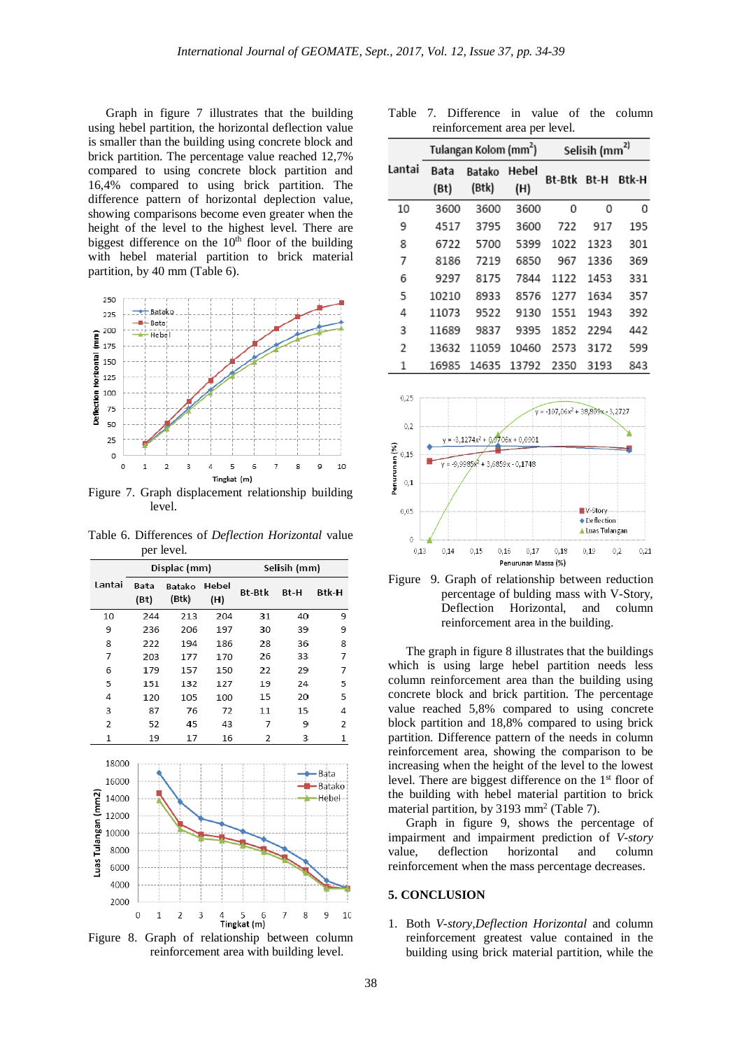Graph in figure 7 illustrates that the building using hebel partition, the horizontal deflection value is smaller than the building using concrete block and brick partition. The percentage value reached 12,7% compared to using concrete block partition and 16,4% compared to using brick partition. The difference pattern of horizontal deplection value, showing comparisons become even greater when the height of the level to the highest level. There are biggest difference on the  $10<sup>th</sup>$  floor of the building with hebel material partition to brick material partition, by 40 mm (Table 6).



Figure 7. Graph displacement relationship building level.

Table 6. Differences of *Deflection Horizontal* value per level.

|                     |        | Displac (mm)      |                     |              | Selisih (mm)          |        |                  |
|---------------------|--------|-------------------|---------------------|--------------|-----------------------|--------|------------------|
|                     | Lantai | Bata<br>(Bt)      | Batako<br>(Btk)     | Hebel<br>(H) | <b>Bt-Btk</b>         | Bt-H   | Btk-H            |
|                     | 10     | 244               | 213                 | 204          | 31                    | 40     | 9                |
|                     | 9      | 236               | 206                 | 197          | 30                    | 39     | 9                |
|                     | 8      | 222               | 194                 | 186          | 28                    | 36     | 8                |
|                     | 7      | 203               | 177                 | 170          | 26                    | 33     | 7                |
|                     | 6      | 179               | 157                 | 150          | 22                    | 29     | 7                |
|                     | 5      | 151               | 132                 | 127          | 19                    | 24     | 5                |
|                     | 4      | 120               | 105                 | 100          | 15                    | 20     | 5                |
|                     | 3      | 87                | 76                  | 72           | 11                    | 15     | 4                |
|                     | 2      | 52                | 45                  | 43           | 7                     | 9      | 2                |
|                     | 1      | 19                | 17                  | 16           | 2                     | 3      | 1                |
|                     | 18000  |                   |                     |              |                       |        |                  |
|                     | 16000  |                   |                     |              |                       |        | · Bata<br>Batako |
|                     | 14000  |                   |                     |              |                       |        | Hebel            |
| Luas Tulangan (mm2) | 12000  |                   |                     |              |                       |        |                  |
|                     | 10000  |                   |                     |              |                       |        |                  |
|                     | 8000   |                   |                     |              |                       |        |                  |
|                     | 6000   |                   |                     |              |                       |        |                  |
|                     | 4000   |                   |                     |              |                       |        |                  |
|                     | 2000   |                   |                     |              |                       |        |                  |
|                     |        | 0<br>$\mathbf{1}$ | 3<br>$\overline{2}$ | 4            | 5<br>6<br>Tingkat (m) | 7<br>8 | 9<br>10          |

Figure 8. Graph of relationship between column reinforcement area with building level.

Table 7. Difference in value of the column reinforcement area per level.

|        | Tulangan Kolom (mm <sup>2</sup> ) |                 |              | Selisih (mm <sup>2)</sup> |      |       |
|--------|-----------------------------------|-----------------|--------------|---------------------------|------|-------|
| Lantai | Bata<br>(Bt)                      | Batako<br>(Btk) | Hebel<br>(H) | Bt-Btk                    | Bt-H | Btk-H |
| 10     | 3600                              | 3600            | 3600         | 0                         | 0    | 0     |
| 9      | 4517                              | 3795            | 3600         | 722                       | 917  | 195   |
| 8      | 6722                              | 5700            | 5399         | 1022                      | 1323 | 301   |
| 7      | 8186                              | 7219            | 6850         | 967                       | 1336 | 369   |
| 6      | 9297                              | 8175            | 7844         | 1122                      | 1453 | 331   |
| 5      | 10210                             | 8933            | 8576         | 1277                      | 1634 | 357   |
| 4      | 11073                             | 9522            | 9130         | 1551                      | 1943 | 392   |
| 3      | 11689                             | 9837            | 9395         | 1852                      | 2294 | 442   |
| 2      | 13632                             | 11059           | 10460        | 2573                      | 3172 | 599   |
| 1      | 16985                             | 14635           | 13792        | 2350                      | 3193 | 843   |



Figure 9. Graph of relationship between reduction percentage of bulding mass with V-Story, Deflection Horizontal, and column reinforcement area in the building.

The graph in figure 8 illustrates that the buildings which is using large hebel partition needs less column reinforcement area than the building using concrete block and brick partition. The percentage value reached 5,8% compared to using concrete block partition and 18,8% compared to using brick partition. Difference pattern of the needs in column reinforcement area, showing the comparison to be increasing when the height of the level to the lowest level. There are biggest difference on the  $1<sup>st</sup>$  floor of the building with hebel material partition to brick material partition, by 3193 mm2 (Table 7).

Graph in figure 9, shows the percentage of impairment and impairment prediction of *V-story* value, deflection horizontal and column reinforcement when the mass percentage decreases.

#### **5. CONCLUSION**

1. Both *V-story,Deflection Horizontal* and column reinforcement greatest value contained in the building using brick material partition, while the